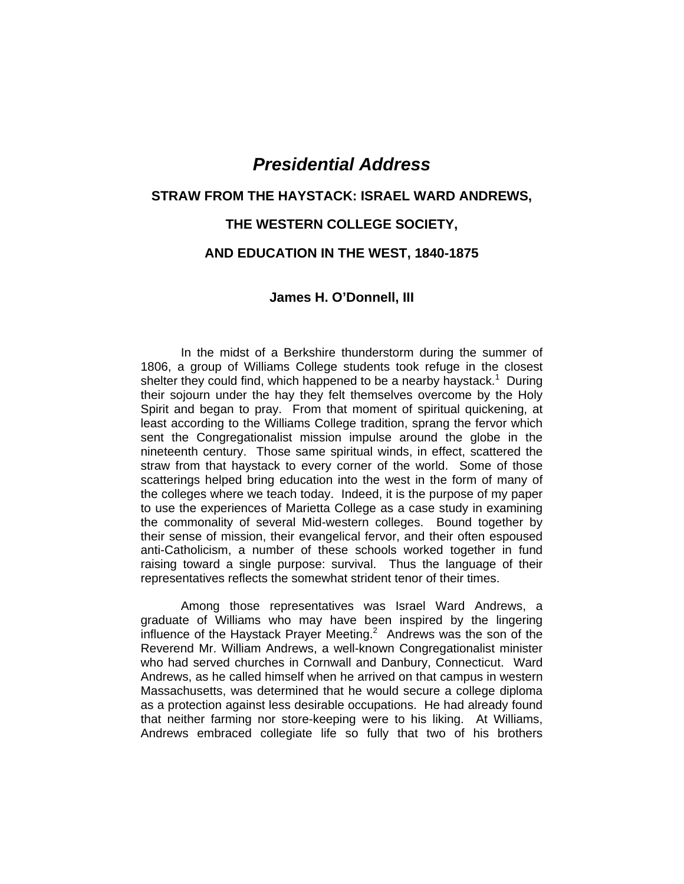# *Presidential Address*

# **STRAW FROM THE HAYSTACK: ISRAEL WARD ANDREWS,**

# **THE WESTERN COLLEGE SOCIETY,**

# **AND EDUCATION IN THE WEST, 1840-1875**

## **James H. O'Donnell, III**

In the midst of a Berkshire thunderstorm during the summer of 1806, a group of Williams College students took refuge in the closest shelter they could find, which happened to be a nearby haystack.<sup>1</sup> During their sojourn under the hay they felt themselves overcome by the Holy Spirit and began to pray. From that moment of spiritual quickening, at least according to the Williams College tradition, sprang the fervor which sent the Congregationalist mission impulse around the globe in the nineteenth century. Those same spiritual winds, in effect, scattered the straw from that haystack to every corner of the world. Some of those scatterings helped bring education into the west in the form of many of the colleges where we teach today. Indeed, it is the purpose of my paper to use the experiences of Marietta College as a case study in examining the commonality of several Mid-western colleges. Bound together by their sense of mission, their evangelical fervor, and their often espoused anti-Catholicism, a number of these schools worked together in fund raising toward a single purpose: survival. Thus the language of their representatives reflects the somewhat strident tenor of their times.

Among those representatives was Israel Ward Andrews, a graduate of Williams who may have been inspired by the lingering influence of the Haystack Prayer Meeting.<sup>2</sup> Andrews was the son of the Reverend Mr. William Andrews, a well-known Congregationalist minister who had served churches in Cornwall and Danbury, Connecticut. Ward Andrews, as he called himself when he arrived on that campus in western Massachusetts, was determined that he would secure a college diploma as a protection against less desirable occupations. He had already found that neither farming nor store-keeping were to his liking. At Williams, Andrews embraced collegiate life so fully that two of his brothers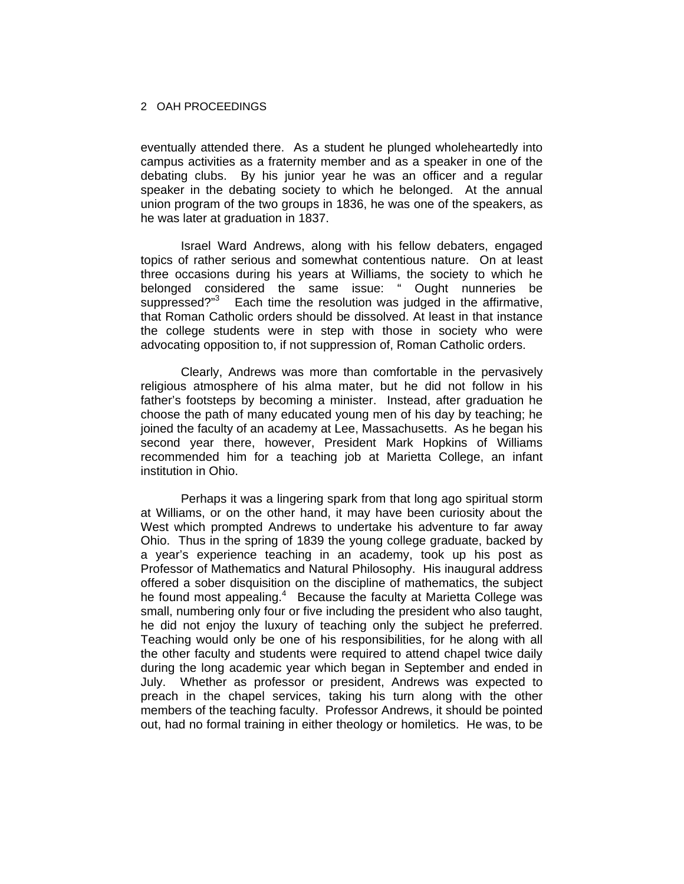eventually attended there. As a student he plunged wholeheartedly into campus activities as a fraternity member and as a speaker in one of the debating clubs. By his junior year he was an officer and a regular speaker in the debating society to which he belonged. At the annual union program of the two groups in 1836, he was one of the speakers, as he was later at graduation in 1837.

Israel Ward Andrews, along with his fellow debaters, engaged topics of rather serious and somewhat contentious nature. On at least three occasions during his years at Williams, the society to which he belonged considered the same issue: " Ought nunneries be suppressed?"3 Each time the resolution was judged in the affirmative, that Roman Catholic orders should be dissolved. At least in that instance the college students were in step with those in society who were advocating opposition to, if not suppression of, Roman Catholic orders.

Clearly, Andrews was more than comfortable in the pervasively religious atmosphere of his alma mater, but he did not follow in his father's footsteps by becoming a minister. Instead, after graduation he choose the path of many educated young men of his day by teaching; he joined the faculty of an academy at Lee, Massachusetts. As he began his second year there, however, President Mark Hopkins of Williams recommended him for a teaching job at Marietta College, an infant institution in Ohio.

Perhaps it was a lingering spark from that long ago spiritual storm at Williams, or on the other hand, it may have been curiosity about the West which prompted Andrews to undertake his adventure to far away Ohio. Thus in the spring of 1839 the young college graduate, backed by a year's experience teaching in an academy, took up his post as Professor of Mathematics and Natural Philosophy. His inaugural address offered a sober disquisition on the discipline of mathematics, the subject he found most appealing.<sup>4</sup> Because the faculty at Marietta College was small, numbering only four or five including the president who also taught, he did not enjoy the luxury of teaching only the subject he preferred. Teaching would only be one of his responsibilities, for he along with all the other faculty and students were required to attend chapel twice daily during the long academic year which began in September and ended in July. Whether as professor or president, Andrews was expected to preach in the chapel services, taking his turn along with the other members of the teaching faculty. Professor Andrews, it should be pointed out, had no formal training in either theology or homiletics. He was, to be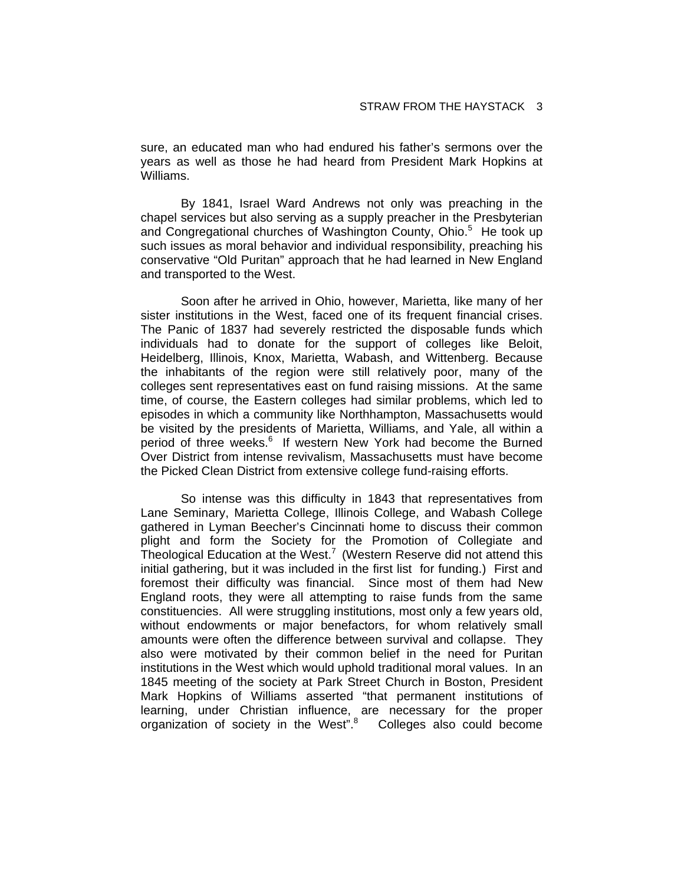sure, an educated man who had endured his father's sermons over the years as well as those he had heard from President Mark Hopkins at Williams.

By 1841, Israel Ward Andrews not only was preaching in the chapel services but also serving as a supply preacher in the Presbyterian and Congregational churches of Washington County, Ohio.<sup>5</sup> He took up such issues as moral behavior and individual responsibility, preaching his conservative "Old Puritan" approach that he had learned in New England and transported to the West.

Soon after he arrived in Ohio, however, Marietta, like many of her sister institutions in the West, faced one of its frequent financial crises. The Panic of 1837 had severely restricted the disposable funds which individuals had to donate for the support of colleges like Beloit, Heidelberg, Illinois, Knox, Marietta, Wabash, and Wittenberg. Because the inhabitants of the region were still relatively poor, many of the colleges sent representatives east on fund raising missions. At the same time, of course, the Eastern colleges had similar problems, which led to episodes in which a community like Northhampton, Massachusetts would be visited by the presidents of Marietta, Williams, and Yale, all within a period of three weeks.<sup>6</sup> If western New York had become the Burned Over District from intense revivalism, Massachusetts must have become the Picked Clean District from extensive college fund-raising efforts.

So intense was this difficulty in 1843 that representatives from Lane Seminary, Marietta College, Illinois College, and Wabash College gathered in Lyman Beecher's Cincinnati home to discuss their common plight and form the Society for the Promotion of Collegiate and Theological Education at the West.<sup>7</sup> (Western Reserve did not attend this initial gathering, but it was included in the first list for funding.) First and foremost their difficulty was financial. Since most of them had New England roots, they were all attempting to raise funds from the same constituencies. All were struggling institutions, most only a few years old, without endowments or major benefactors, for whom relatively small amounts were often the difference between survival and collapse. They also were motivated by their common belief in the need for Puritan institutions in the West which would uphold traditional moral values. In an 1845 meeting of the society at Park Street Church in Boston, President Mark Hopkins of Williams asserted "that permanent institutions of learning, under Christian influence, are necessary for the proper organization of society in the West".8 Colleges also could become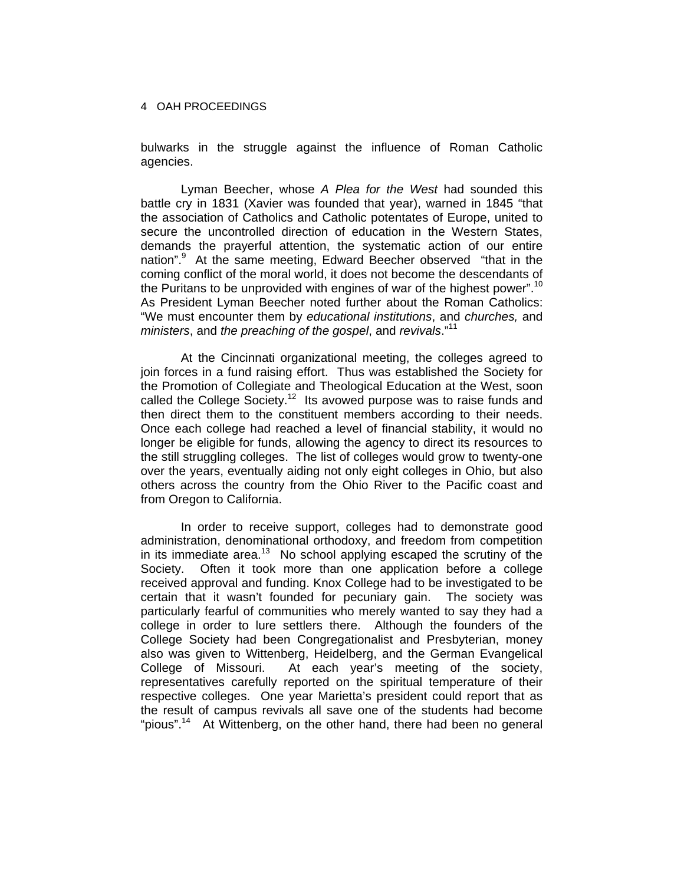bulwarks in the struggle against the influence of Roman Catholic agencies.

Lyman Beecher, whose *A Plea for the West* had sounded this battle cry in 1831 (Xavier was founded that year), warned in 1845 "that the association of Catholics and Catholic potentates of Europe, united to secure the uncontrolled direction of education in the Western States, demands the prayerful attention, the systematic action of our entire nation".<sup>9</sup> At the same meeting, Edward Beecher observed "that in the coming conflict of the moral world, it does not become the descendants of the Puritans to be unprovided with engines of war of the highest power".<sup>10</sup> As President Lyman Beecher noted further about the Roman Catholics: "We must encounter them by *educational institutions*, and *churches,* and *ministers*, and *the preaching of the gospel*, and *revivals*."<sup>11</sup>

At the Cincinnati organizational meeting, the colleges agreed to join forces in a fund raising effort. Thus was established the Society for the Promotion of Collegiate and Theological Education at the West, soon called the College Society.<sup>12</sup> Its avowed purpose was to raise funds and then direct them to the constituent members according to their needs. Once each college had reached a level of financial stability, it would no longer be eligible for funds, allowing the agency to direct its resources to the still struggling colleges. The list of colleges would grow to twenty-one over the years, eventually aiding not only eight colleges in Ohio, but also others across the country from the Ohio River to the Pacific coast and from Oregon to California.

In order to receive support, colleges had to demonstrate good administration, denominational orthodoxy, and freedom from competition in its immediate area.<sup>13</sup> No school applying escaped the scrutiny of the Society. Often it took more than one application before a college received approval and funding. Knox College had to be investigated to be certain that it wasn't founded for pecuniary gain. The society was particularly fearful of communities who merely wanted to say they had a college in order to lure settlers there. Although the founders of the College Society had been Congregationalist and Presbyterian, money also was given to Wittenberg, Heidelberg, and the German Evangelical College of Missouri. At each year's meeting of the society, representatives carefully reported on the spiritual temperature of their respective colleges. One year Marietta's president could report that as the result of campus revivals all save one of the students had become "pious".<sup>14</sup> At Wittenberg, on the other hand, there had been no general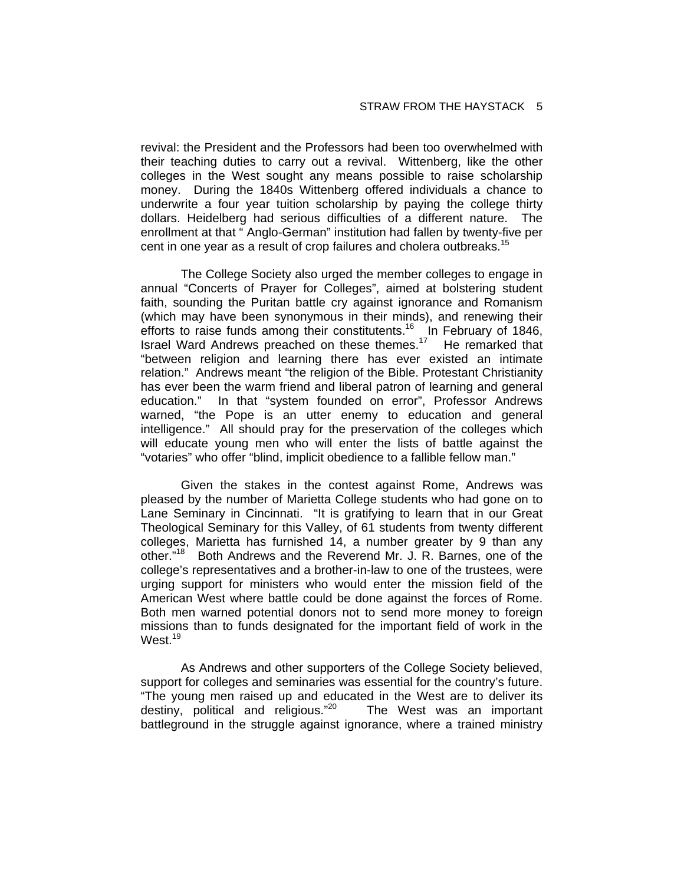revival: the President and the Professors had been too overwhelmed with their teaching duties to carry out a revival. Wittenberg, like the other colleges in the West sought any means possible to raise scholarship money. During the 1840s Wittenberg offered individuals a chance to underwrite a four year tuition scholarship by paying the college thirty dollars. Heidelberg had serious difficulties of a different nature. The enrollment at that " Anglo-German" institution had fallen by twenty-five per cent in one year as a result of crop failures and cholera outbreaks.<sup>15</sup>

The College Society also urged the member colleges to engage in annual "Concerts of Prayer for Colleges", aimed at bolstering student faith, sounding the Puritan battle cry against ignorance and Romanism (which may have been synonymous in their minds), and renewing their efforts to raise funds among their constitutents.<sup>16</sup> In February of 1846, Israel Ward Andrews preached on these themes.<sup>17</sup> He remarked that "between religion and learning there has ever existed an intimate relation." Andrews meant "the religion of the Bible. Protestant Christianity has ever been the warm friend and liberal patron of learning and general education." In that "system founded on error", Professor Andrews warned, "the Pope is an utter enemy to education and general intelligence." All should pray for the preservation of the colleges which will educate young men who will enter the lists of battle against the "votaries" who offer "blind, implicit obedience to a fallible fellow man."

Given the stakes in the contest against Rome, Andrews was pleased by the number of Marietta College students who had gone on to Lane Seminary in Cincinnati. "It is gratifying to learn that in our Great Theological Seminary for this Valley, of 61 students from twenty different colleges, Marietta has furnished 14, a number greater by 9 than any other."<sup>18</sup> Both Andrews and the Reverend Mr. J. R. Barnes, one of the college's representatives and a brother-in-law to one of the trustees, were urging support for ministers who would enter the mission field of the American West where battle could be done against the forces of Rome. Both men warned potential donors not to send more money to foreign missions than to funds designated for the important field of work in the West.<sup>19</sup>

As Andrews and other supporters of the College Society believed, support for colleges and seminaries was essential for the country's future. "The young men raised up and educated in the West are to deliver its destiny, political and religious."<sup>20</sup> The West was an important battleground in the struggle against ignorance, where a trained ministry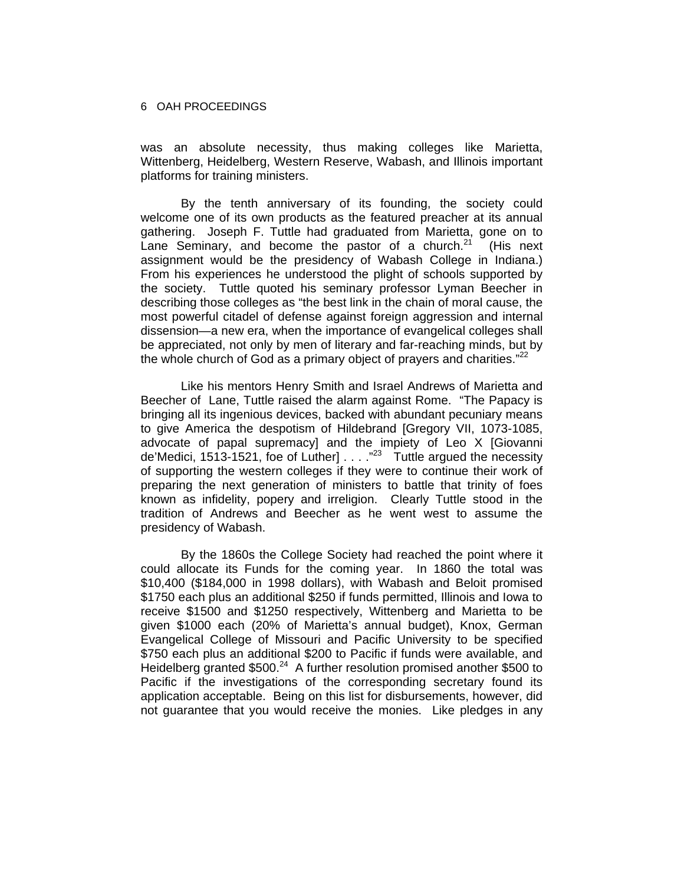was an absolute necessity, thus making colleges like Marietta, Wittenberg, Heidelberg, Western Reserve, Wabash, and Illinois important platforms for training ministers.

By the tenth anniversary of its founding, the society could welcome one of its own products as the featured preacher at its annual gathering. Joseph F. Tuttle had graduated from Marietta, gone on to Lane Seminary, and become the pastor of a church.<sup>21</sup> (His next assignment would be the presidency of Wabash College in Indiana.) From his experiences he understood the plight of schools supported by the society. Tuttle quoted his seminary professor Lyman Beecher in describing those colleges as "the best link in the chain of moral cause, the most powerful citadel of defense against foreign aggression and internal dissension—a new era, when the importance of evangelical colleges shall be appreciated, not only by men of literary and far-reaching minds, but by the whole church of God as a primary object of prayers and charities." $22$ 

Like his mentors Henry Smith and Israel Andrews of Marietta and Beecher of Lane, Tuttle raised the alarm against Rome. "The Papacy is bringing all its ingenious devices, backed with abundant pecuniary means to give America the despotism of Hildebrand [Gregory VII, 1073-1085, advocate of papal supremacy] and the impiety of Leo X [Giovanni de'Medici, 1513-1521, foe of Luther]  $\ldots$  ."<sup>23</sup> Tuttle argued the necessity of supporting the western colleges if they were to continue their work of preparing the next generation of ministers to battle that trinity of foes known as infidelity, popery and irreligion. Clearly Tuttle stood in the tradition of Andrews and Beecher as he went west to assume the presidency of Wabash.

By the 1860s the College Society had reached the point where it could allocate its Funds for the coming year. In 1860 the total was \$10,400 (\$184,000 in 1998 dollars), with Wabash and Beloit promised \$1750 each plus an additional \$250 if funds permitted, Illinois and Iowa to receive \$1500 and \$1250 respectively, Wittenberg and Marietta to be given \$1000 each (20% of Marietta's annual budget), Knox, German Evangelical College of Missouri and Pacific University to be specified \$750 each plus an additional \$200 to Pacific if funds were available, and Heidelberg granted \$500.<sup>24</sup> A further resolution promised another \$500 to Pacific if the investigations of the corresponding secretary found its application acceptable. Being on this list for disbursements, however, did not guarantee that you would receive the monies. Like pledges in any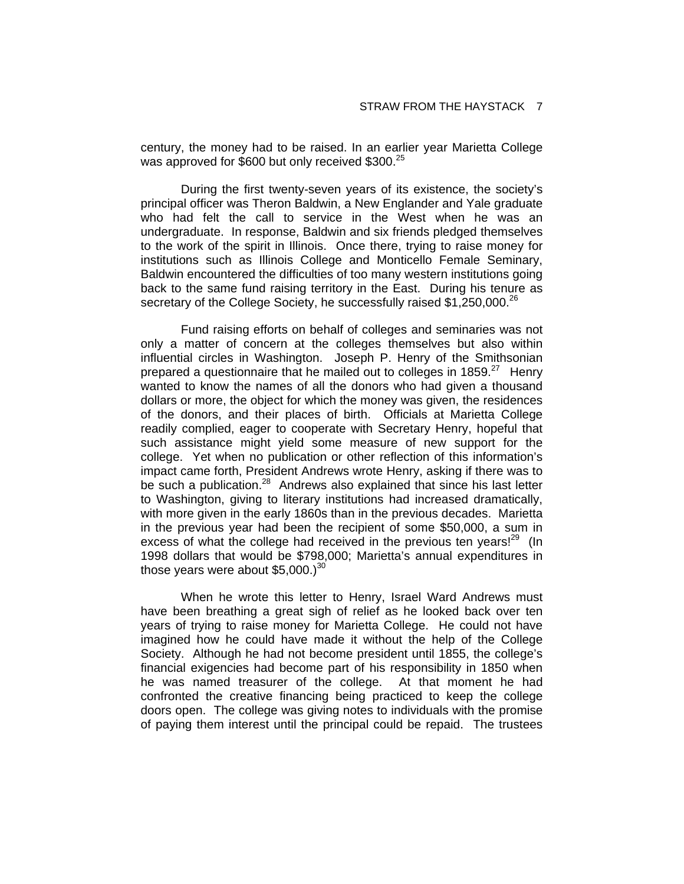century, the money had to be raised. In an earlier year Marietta College was approved for \$600 but only received \$300.<sup>25</sup>

During the first twenty-seven years of its existence, the society's principal officer was Theron Baldwin, a New Englander and Yale graduate who had felt the call to service in the West when he was an undergraduate. In response, Baldwin and six friends pledged themselves to the work of the spirit in Illinois. Once there, trying to raise money for institutions such as Illinois College and Monticello Female Seminary, Baldwin encountered the difficulties of too many western institutions going back to the same fund raising territory in the East. During his tenure as secretary of the College Society, he successfully raised \$1,250,000.<sup>26</sup>

Fund raising efforts on behalf of colleges and seminaries was not only a matter of concern at the colleges themselves but also within influential circles in Washington. Joseph P. Henry of the Smithsonian prepared a questionnaire that he mailed out to colleges in 1859.<sup>27</sup> Henry wanted to know the names of all the donors who had given a thousand dollars or more, the object for which the money was given, the residences of the donors, and their places of birth. Officials at Marietta College readily complied, eager to cooperate with Secretary Henry, hopeful that such assistance might yield some measure of new support for the college. Yet when no publication or other reflection of this information's impact came forth, President Andrews wrote Henry, asking if there was to be such a publication.<sup>28</sup> Andrews also explained that since his last letter to Washington, giving to literary institutions had increased dramatically, with more given in the early 1860s than in the previous decades. Marietta in the previous year had been the recipient of some \$50,000, a sum in excess of what the college had received in the previous ten vears! $29$  (In 1998 dollars that would be \$798,000; Marietta's annual expenditures in those years were about  $$5,000.<sup>30</sup>$ 

When he wrote this letter to Henry, Israel Ward Andrews must have been breathing a great sigh of relief as he looked back over ten years of trying to raise money for Marietta College. He could not have imagined how he could have made it without the help of the College Society. Although he had not become president until 1855, the college's financial exigencies had become part of his responsibility in 1850 when he was named treasurer of the college. At that moment he had confronted the creative financing being practiced to keep the college doors open. The college was giving notes to individuals with the promise of paying them interest until the principal could be repaid. The trustees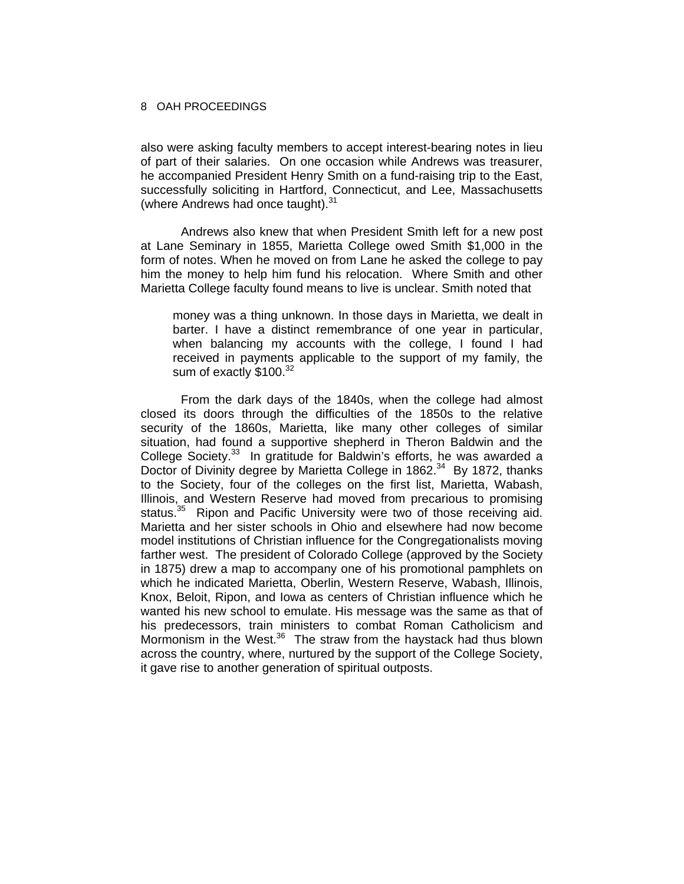also were asking faculty members to accept interest-bearing notes in lieu of part of their salaries. On one occasion while Andrews was treasurer, he accompanied President Henry Smith on a fund-raising trip to the East, successfully soliciting in Hartford, Connecticut, and Lee, Massachusetts (where Andrews had once taught).<sup>31</sup>

Andrews also knew that when President Smith left for a new post at Lane Seminary in 1855, Marietta College owed Smith \$1,000 in the form of notes. When he moved on from Lane he asked the college to pay him the money to help him fund his relocation. Where Smith and other Marietta College faculty found means to live is unclear. Smith noted that

money was a thing unknown. In those days in Marietta, we dealt in barter. I have a distinct remembrance of one year in particular, when balancing my accounts with the college, I found I had received in payments applicable to the support of my family, the sum of exactly \$100.<sup>32</sup>

From the dark days of the 1840s, when the college had almost closed its doors through the difficulties of the 1850s to the relative security of the 1860s, Marietta, like many other colleges of similar situation, had found a supportive shepherd in Theron Baldwin and the College Society.<sup>33</sup> In gratitude for Baldwin's efforts, he was awarded a Doctor of Divinity degree by Marietta College in 1862.<sup>34</sup> By 1872, thanks to the Society, four of the colleges on the first list, Marietta, Wabash, Illinois, and Western Reserve had moved from precarious to promising status.<sup>35</sup> Ripon and Pacific University were two of those receiving aid. Marietta and her sister schools in Ohio and elsewhere had now become model institutions of Christian influence for the Congregationalists moving farther west. The president of Colorado College (approved by the Society in 1875) drew a map to accompany one of his promotional pamphlets on which he indicated Marietta, Oberlin, Western Reserve, Wabash, Illinois, Knox, Beloit, Ripon, and Iowa as centers of Christian influence which he wanted his new school to emulate. His message was the same as that of his predecessors, train ministers to combat Roman Catholicism and Mormonism in the West. $36$  The straw from the haystack had thus blown across the country, where, nurtured by the support of the College Society, it gave rise to another generation of spiritual outposts.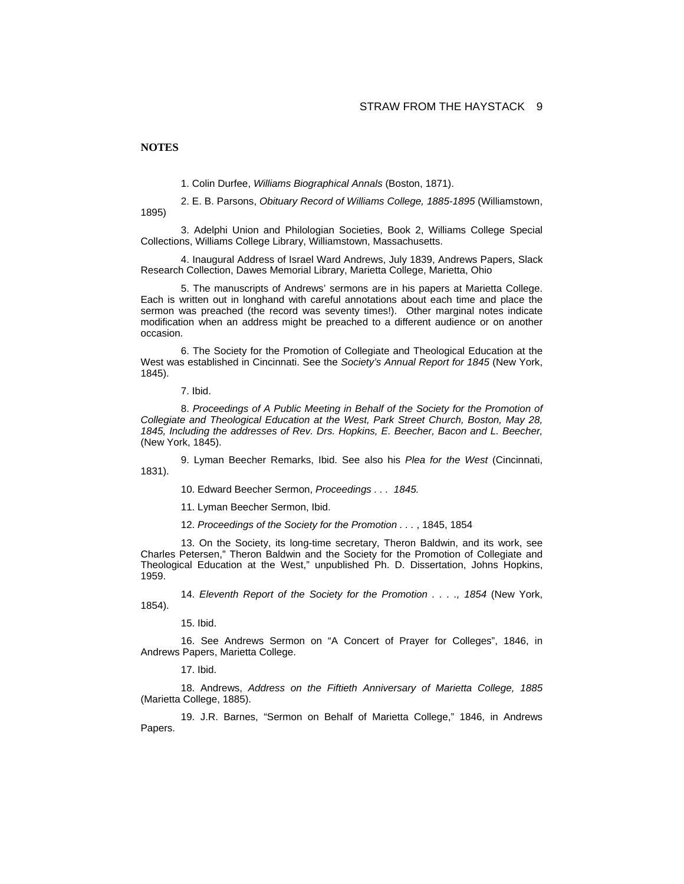**NOTES** 

1. Colin Durfee, *Williams Biographical Annals* (Boston, 1871).

2. E. B. Parsons, *Obituary Record of Williams College, 1885-1895* (Williamstown, 1895)

3. Adelphi Union and Philologian Societies, Book 2, Williams College Special Collections, Williams College Library, Williamstown, Massachusetts.

4. Inaugural Address of Israel Ward Andrews, July 1839, Andrews Papers, Slack Research Collection, Dawes Memorial Library, Marietta College, Marietta, Ohio

5. The manuscripts of Andrews' sermons are in his papers at Marietta College. Each is written out in longhand with careful annotations about each time and place the sermon was preached (the record was seventy times!). Other marginal notes indicate modification when an address might be preached to a different audience or on another occasion.

6. The Society for the Promotion of Collegiate and Theological Education at the West was established in Cincinnati. See the *Society's Annual Report for 1845* (New York, 1845).

7. Ibid.

8. *Proceedings of A Public Meeting in Behalf of the Society for the Promotion of Collegiate and Theological Education at the West, Park Street Church, Boston, May 28, 1845, Including the addresses of Rev. Drs. Hopkins, E. Beecher, Bacon and L. Beecher,*  (New York, 1845).

9. Lyman Beecher Remarks, Ibid. See also his *Plea for the West* (Cincinnati, 1831).

10. Edward Beecher Sermon, *Proceedings . . . 1845.*

11. Lyman Beecher Sermon, Ibid.

12. *Proceedings of the Society for the Promotion . . .* , 1845, 1854

13. On the Society, its long-time secretary, Theron Baldwin, and its work, see Charles Petersen," Theron Baldwin and the Society for the Promotion of Collegiate and Theological Education at the West," unpublished Ph. D. Dissertation, Johns Hopkins, 1959.

14. *Eleventh Report of the Society for the Promotion . . . ., 1854* (New York, 1854).

15. Ibid.

16. See Andrews Sermon on "A Concert of Prayer for Colleges", 1846, in Andrews Papers, Marietta College.

17. Ibid.

18. Andrews, *Address on the Fiftieth Anniversary of Marietta College, 1885* (Marietta College, 1885).

19. J.R. Barnes, "Sermon on Behalf of Marietta College," 1846, in Andrews Papers.